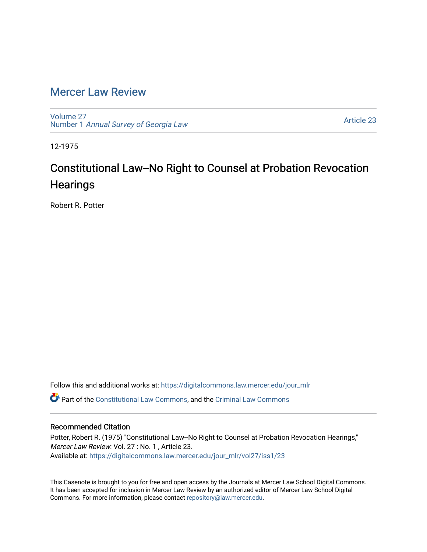## [Mercer Law Review](https://digitalcommons.law.mercer.edu/jour_mlr)

[Volume 27](https://digitalcommons.law.mercer.edu/jour_mlr/vol27) Number 1 [Annual Survey of Georgia Law](https://digitalcommons.law.mercer.edu/jour_mlr/vol27/iss1) 

[Article 23](https://digitalcommons.law.mercer.edu/jour_mlr/vol27/iss1/23) 

12-1975

# Constitutional Law--No Right to Counsel at Probation Revocation **Hearings**

Robert R. Potter

Follow this and additional works at: [https://digitalcommons.law.mercer.edu/jour\\_mlr](https://digitalcommons.law.mercer.edu/jour_mlr?utm_source=digitalcommons.law.mercer.edu%2Fjour_mlr%2Fvol27%2Fiss1%2F23&utm_medium=PDF&utm_campaign=PDFCoverPages) Part of the [Constitutional Law Commons,](http://network.bepress.com/hgg/discipline/589?utm_source=digitalcommons.law.mercer.edu%2Fjour_mlr%2Fvol27%2Fiss1%2F23&utm_medium=PDF&utm_campaign=PDFCoverPages) and the [Criminal Law Commons](http://network.bepress.com/hgg/discipline/912?utm_source=digitalcommons.law.mercer.edu%2Fjour_mlr%2Fvol27%2Fiss1%2F23&utm_medium=PDF&utm_campaign=PDFCoverPages)

#### Recommended Citation

Potter, Robert R. (1975) "Constitutional Law--No Right to Counsel at Probation Revocation Hearings," Mercer Law Review: Vol. 27 : No. 1 , Article 23. Available at: [https://digitalcommons.law.mercer.edu/jour\\_mlr/vol27/iss1/23](https://digitalcommons.law.mercer.edu/jour_mlr/vol27/iss1/23?utm_source=digitalcommons.law.mercer.edu%2Fjour_mlr%2Fvol27%2Fiss1%2F23&utm_medium=PDF&utm_campaign=PDFCoverPages) 

This Casenote is brought to you for free and open access by the Journals at Mercer Law School Digital Commons. It has been accepted for inclusion in Mercer Law Review by an authorized editor of Mercer Law School Digital Commons. For more information, please contact [repository@law.mercer.edu.](mailto:repository@law.mercer.edu)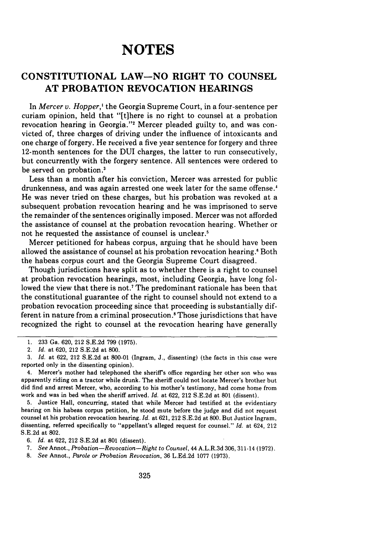## **NOTES**

### **CONSTITUTIONAL LAW-NO RIGHT TO COUNSEL AT PROBATION REVOCATION HEARINGS**

In *Mercer v. Hopper,'* the Georgia Supreme Court, in a four-sentence per curiam opinion, held that "[tihere is no right to counsel at a probation revocation hearing in Georgia."<sup>2</sup> Mercer pleaded guilty to, and was convicted of, three charges of driving under the influence of intoxicants and one charge of forgery. He received a five year sentence for forgery and three 12-month sentences for the **DUI** charges, the latter to run consecutively, but concurrently with the forgery sentence. All sentences were ordered to be served on probation.'

Less than a month after his conviction, Mercer was arrested for public drunkenness, and was again arrested one week later for the same offense.' He was never tried on these charges, but his probation was revoked at a subsequent probation revocation hearing and he was imprisoned to serve the remainder of the sentences originally imposed. Mercer was not afforded the assistance of counsel at the probation revocation hearing. Whether or not he requested the assistance of counsel is unclear.'

Mercer petitioned for habeas corpus, arguing that he should have been allowed the assistance of counsel at his probation revocation hearing.' Both the habeas corpus court and the Georgia Supreme Court disagreed.

Though jurisdictions have split as to whether there is a right to counsel at probation revocation hearings, most, including Georgia, have long followed the view that there is not.<sup>7</sup> The predominant rationale has been that the constitutional guarantee of the right to counsel should not extend to a probation revocation proceeding since that proceeding is substantially different in nature from a criminal prosecution.<sup>8</sup> Those jurisdictions that have recognized the right to counsel at the revocation hearing have generally

5. Justice Hall, concurring, stated that while Mercer had testified at the evidentiary hearing on his habeas corpus petition, he stood mute before the judge and did not request counsel at his probation revocation hearing. *Id.* at 621, 212 S.E.2d at 800. But Justice Ingram, dissenting, referred specifically to "appellant's alleged request for counsel." *Id.* at 624, 212 S.E.2d at 802.

6. *Id.* at 622, 212 S.E.2d at 801 (dissent).

- **7.** *See* Annot., *Probation-Revocation-Right to Counsel,* 44 A.L.R.3d 306, 311-14 (1972).
- 8. See Annot., *Parole or Probation Revocation,* 36 L.Ed.2d 1077 (1973).

<sup>1. 233</sup> Ga. 620, 212 S.E.2d 799 (1975).

<sup>2.</sup> *Id.* at 620, 212 S.E.2d at 800.

<sup>3.</sup> *Id.* at 622, 212 S.E.2d at 800-01 (Ingram, J., dissenting) (the facts in this case were reported only in the dissenting opinion).

<sup>4.</sup> Mercer's mother had telephoned the sheriff's office regarding her other son who was apparently riding on a tractor while drunk. The sheriff could not locate Mercer's brother but did find and arrest Mercer, who, according to his mother's testimony, had come home from work and was in bed when the sheriff arrived. *Id.* at 622, 212 S.E.2d at 801 (dissent).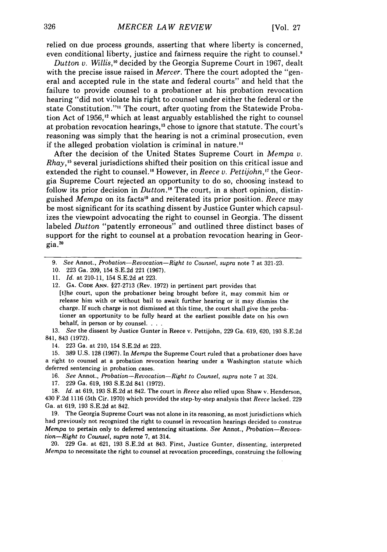relied on due process grounds, asserting that where liberty is concerned, even conditional liberty, justice and fairness require the right to counsel.<sup>9</sup>

*Dutton v. Willis,"* decided by the Georgia Supreme Court in 1967, dealt with the precise issue raised in *Mercer.* There the court adopted the "general and accepted rule in the state and federal courts" and held that the failure to provide counsel to a probationer at his probation revocation hearing "did not violate his right to counsel under either the federal or the state Constitution."" The court, after quoting from the Statewide Probation Act of 1956.<sup>12</sup> which at least arguably established the right to counsel at probation revocation hearings,<sup>13</sup> chose to ignore that statute. The court's reasoning was simply that the hearing is not a criminal prosecution, even if the alleged probation violation is criminal in nature. <sup>4</sup>

After the decision of the United States Supreme Court in *Mempa v. Rhay*,<sup>15</sup> several jurisdictions shifted their position on this critical issue and extended the right to counsel.<sup>16</sup> However, in *Reece v. Pettijohn*,<sup>17</sup> the Georgia Supreme Court rejected an opportunity to do so, choosing instead to follow its prior decision in *Dutton.'"* The court, in a short opinion, distinguished *Mempa* on its facts<sup>19</sup> and reiterated its prior position. *Reece* may be most significant for its scathing dissent by Justice Gunter which capsulizes the viewpoint advocating the right to counsel in Georgia. The dissent labeled *Dutton* "patently erroneous" and outlined three distinct bases of support for the right to counsel at a probation revocation hearing in Georgia. **<sup>20</sup>**

12. GA. CODE ANN. §27-2713 (Rev. 1972) in pertinent part provides that

[t]he court, upon the probationer being brought before it, may commit him or release him with or without bail to await further hearing or it may dismiss the charge. If such charge is not dismissed at this time, the court shall give the probationer an opportunity to be fully heard at the earliest possible date on his own behalf, in person or by counsel...

13. *See* the dissent by Justice Gunter in Reece v. Pettijohn, 229 Ga. 619, 620, 193 S.E.2d 841, 843 (1972).

14. 223 Ga. at 210, 154 S.E.2d at 223.

15. 389 U.S. 128 (1967). In *Mempa* the Supreme Court ruled that a probationer does have a right to counsel at a probation revocation hearing under a Washington statute which deferred sentencing in probation cases.

**16.** See Annot., *Probation-Revocation-Right to Counsel, supra* note 7 at 324.

17. 229 Ga. 619, 193 S.E.2d 841 (1972).

18. *Id.* at 619, 193 S.E.2d at 842. The court in *Reece* also relied upon Shaw v. Henderson, 430 F.2d 1116 (5th Cir. 1970) which provided the step-by-step analysis that *Reece* lacked. 229 Ga. at 619, 193 S.E.2d at 842.

19. The Georgia Supreme Court was not alone in its reasoning, as most jurisdictions which had previously not recognized the right to counsel in revocation hearings decided to construe *Mempa* to pertain only to deferred sentencing situations. *See* Annot., *Probation-Revocation-Right to Counsel, supra* note 7, at 314.

20. 229 Ga. at 621, 193 S.E.2d at 843. First, Justice Gunter, dissenting, interpreted *Mempa* to necessitate the right to counsel at revocation proceedings, construing the following

*<sup>9.</sup> See* Annot., *Probation-Revocation-Right to Counsel, supra* note 7 at 321-23.

<sup>10. 223</sup> Ga. 209, 154 S.E.2d 221 (1967).

<sup>11.</sup> *Id.* at 210-11, 154 S.E.2d at 223.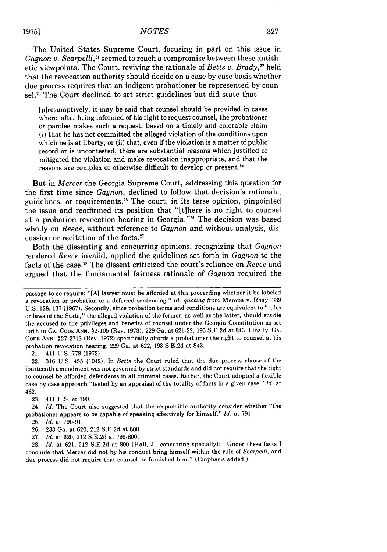The United States Supreme Court, focusing in part on this issue in *Gagnon v. Scarpelli*,<sup>21</sup> seemed to reach a compromise between these antithetic viewpoints. The Court, reviving the rationale of *Betts v. Brady*,<sup>22</sup> held that the revocation authority should decide on a case by case basis whether due process requires that an indigent probationer be represented by counsel.<sup>23</sup> The Court declined to set strict guidelines but did state that

[p]resumptively, it may be said that counsel should be provided in cases where, after being informed of his right to request counsel, the probationer or parolee makes such a request, based on a timely and colorable claim (i) that he has not committed the alleged violation of the conditions upon which he is at liberty; or (ii) that, even if the violation is a matter of public record or is uncontested, there are substantial reasons which justified or mitigated the violation and make revocation inappropriate, and that the reasons are complex or otherwise difficult to develop or present. <sup>21</sup>

But in *Mercer* the Georgia Supreme Court, addressing this question for the first time since *Gagnon,* declined to follow that decision's rationale, guidelines, or requirements. 25 The court, in its terse opinion, pinpointed the issue and reaffirmed its position that "[tihere is no right to counsel at a probation revocation hearing in Georgia."<sup>26</sup> The decision was based wholly on *Reece,* without reference to *Gagnon* and without analysis, discussion or recitation of the facts. <sup>27</sup>

Both the dissenting and concurring opinions, recognizing that *Gagnon* rendered *Reece* invalid, applied the guidelines set forth in *Gagnon* to the facts of the case. 28 The dissent criticized the court's reliance on *Reece* and argued that the fundamental fairness rationale of *Gagnon* required the

21. 411 U.S. 778 (1973).

22. 316 U.S. 455 (1942). In *Betts* the Court ruled that the due process clause of the fourteenth amendment was not governed by strict standards and did not require that the right to counsel be afforded defendents in all criminal cases. Rather, the Court adopted a flexible case by case approach "tested by an appraisal of the totality of facts in a given case." *Id.* at 462.

23. 411 U.S. at 790.

24. *Id.* The Court also suggested that the responsible authority consider whether "the probationer appears to be capable of speaking effectively for himself." *Id.* at 791.

25. *Id.* at 790-91.

26. 233 Ga. at 620, 212 S.E.2d at 800.

27. *Id.* at 620, 212 S.E.2d at 799-800.

28. *Id.* at 621, 212 S.E.2d at 800 (Hall, J., concurring specially): "Under these facts I conclude that Mercer did not by his conduct bring himself within the rule of *Scarpelli,* and due process did not require that counsel be furnished him." (Emphasis added.)

passage to so require: "[A] lawyer must be afforded at this proceeding whether it be labeled a revocation or probation or a deferred sentencing." *Id. quoting from* Mempa v. Rhay, 389 U.S. 128, 137 (1967). Secondly, since probation terms and conditions are equivalent to "rules or laws of the State," the alleged violation of the former, as well as the latter, should entitle the accused to the privileges and benefits of counsel under the Georgia Constitution as set forth in **GA. CODE ANN.** §2-105 (Rev. 1973). 229 Ga. at 621-22, 193 S.E.2d at 843. Finally, GA. **CODE** ANN. §27-2713 (Rev. 1972) specifically affords a probationer the right to counsel at his probation revocation hearing. 229 Ga. at 622, 193 S.E.2d at 843.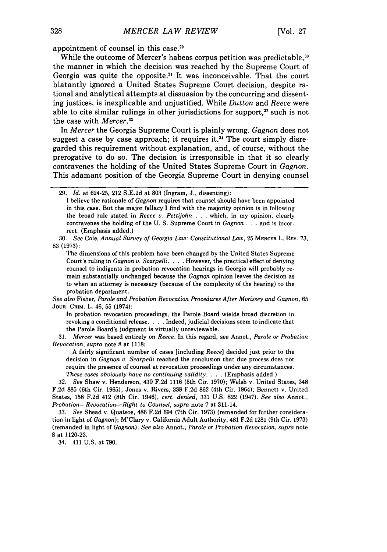appointment of counsel in this case.29

While the outcome of Mercer's habeas corpus petition was predictable, $30^{\circ}$ the manner in which the decision was reached by the Supreme Court of Georgia was quite the opposite.<sup>31</sup> It was inconceivable. That the court blatantly ignored a United States Supreme Court decision, despite rational and analytical attempts at dissuasion by the concurring and dissenting justices, is inexplicable and unjustified. While *Dutton* and *Reece* were able to cite similar rulings in other jurisdictions for support, $32$  such is not the case with *Mercer.33*

In *Mercer* the Georgia Supreme Court is plainly wrong. *Gagnon* does not suggest a case by case approach; it requires it.<sup>34</sup> The court simply disregarded this requirement without explanation, and, of course, without the prerogative to do so. The decision is irresponsible in that it so clearly contravenes the holding of the United States Supreme Court in *Gagnon.* This adamant position of the Georgia Supreme Court in denying counsel

I believe the rationale of *Gagnon* requires that counsel should have been appointed in this case. But the major fallacy I find with the majority opinion is in following the broad rule stated in *Reece v. Pettijohn* . ..which, in my opinion, clearly contravenes the holding of the U. S. Supreme Court in *Gagnon* . .**.**and is incorrect. (Emphasis added.)

30. *See* Cole, *Annual Survey of Georgia Law: Constitutional Law,* 25 **MERCER** L. REV. 73, 83 (1973):

The dimensions of this problem have been changed by the United States Supreme Court's ruling in *Gagnon v. Scarpelli.* . **.** .However, the practical effect of denying counsel to indigents in probation revocation hearings in Georgia will probably remain substantially unchanged because the *Gagnon* opinion leaves the decision as to when an attorney is necessary (because of the complexity of the hearing) to the probation department.

*See also* Fisher, *Parole and Probation Revocation Procedures After Morissey and Gagnon,* 65 **JouR.** CRIM. L. 46, 55 (1974):

In probation revocation proceedings, the Parole Board wields broad discretion in revoking a conditional release. . **.** .Indeed, judicial decisions seem to indicate that the Parole Board's judgment is virtually unreviewable.

31. *Mercer* was based entirely on *Reece.* In this regard, see Annot., *Parole or Probation Revocation, supra* note 8 at 1118:

A fairly significant number of cases [including *Reece]* decided just prior to the decision in *Gagnon v. Scarpelli* reached the conclusion that due process does not require the presence of counsel at revocation proceedings under any circumstances. *These cases obviously have no continuing validity.* . **.** .(Emphasis added.)

32. *See* Shaw v. Henderson, 430 F.2d 1116 (5th Cir. 1970); Welsh v. United States, 348 F.2d 885 (6th Cir. 1965); Jones v. Rivers, 338 F.2d 862 (4th Cir. 1964); Bennett v. United States, 158 F.2d 412 (8th Cir. 1946), *cert. denied,* 331 U.S. 822 (1947). *See also* Annot., *Probation-Revocation-Right to Counsel, supra* note 7at 311-14.

33. *See* Shead v. Quatsoe, 486 F.2d 694 (7th Cir. 1973) (remanded for further consideration in light of *Gagnon);* M'Clary v. California Adult Authority, 481 F.2d 1281 (9th Cir. 1973) (remanded in light of *Gagnon). See also* Annot., *Parole or Probation Revocation, supra* note 8 at 1120-23.

34. 411 U.S. at 790.

<sup>29.</sup> *Id.* at 624-25, 212 S.E.2d at 803 (Ingram, J., dissenting):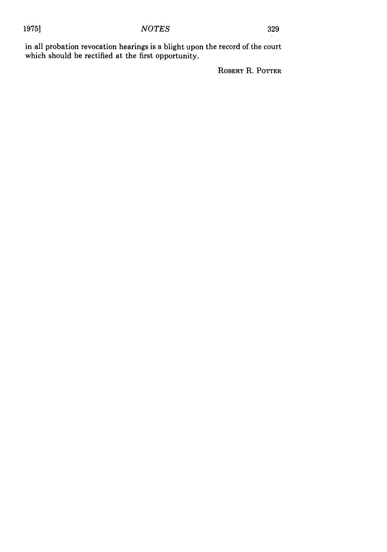#### 1975] *NOTES* <sup>329</sup>

in all probation revocation hearings is a blight upon the record of the court which should be rectified at the first opportunity.

ROBERT R. POTTER